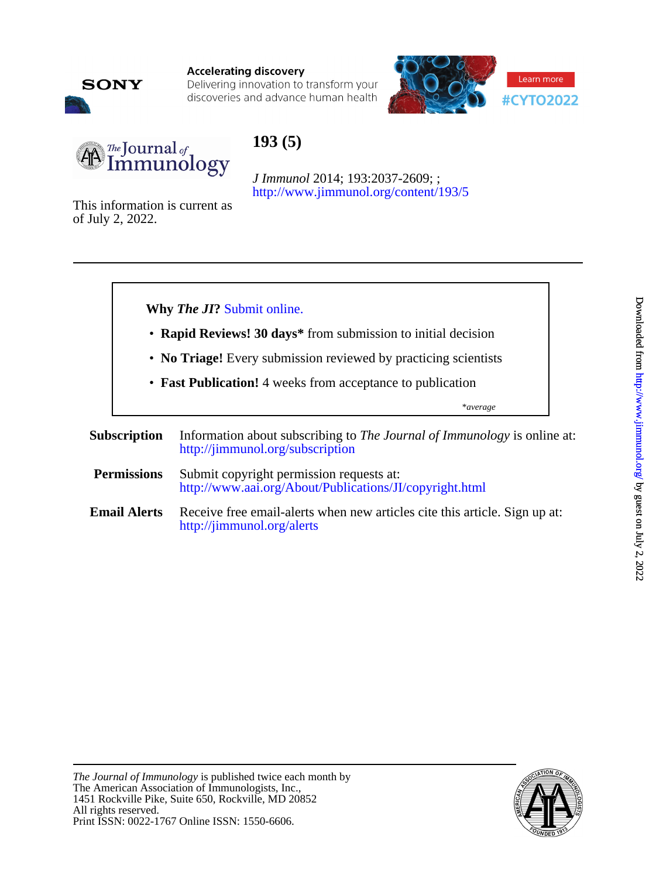

**Accelerating discovery** 

Delivering innovation to transform your discoveries and advance human health





# **193 (5)**

<http://www.jimmunol.org/content/193/5> *J Immunol* 2014; 193:2037-2609; ;

of July 2, 2022. This information is current as



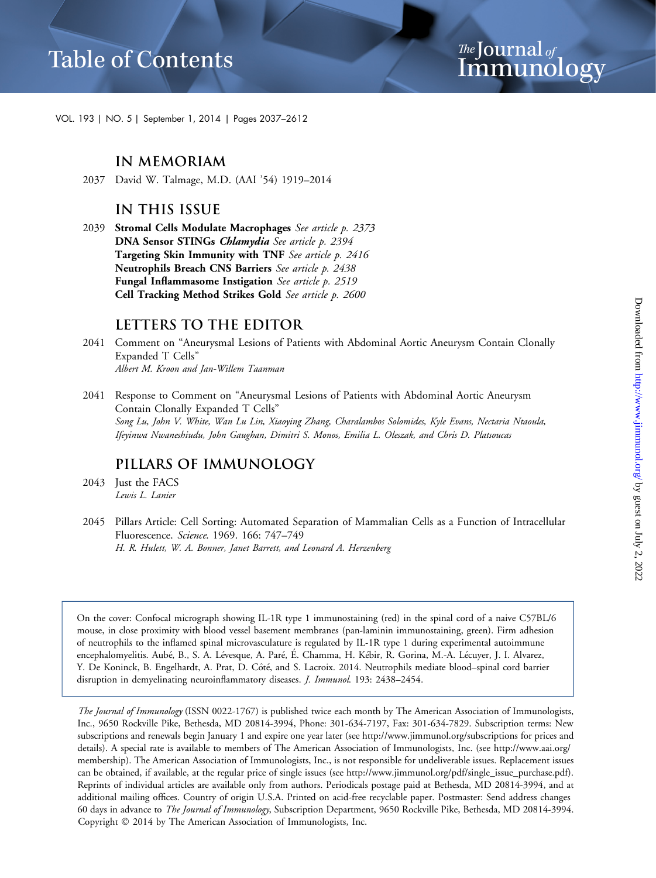*The* Journal <sub>of</sub><br>Immuno Immunology

VOL. 193 | NO. 5 | September 1, 2014 | Pages 2037–2612

#### **IN MEMORIAM**

2037 David W. Talmage, M.D. (AAI '54) 1919–2014

#### **IN THIS ISSUE**

2039 Stromal Cells Modulate Macrophages See article p. 2373 DNA Sensor STINGs Chlamydia See article p. 2394 Targeting Skin Immunity with TNF See article p. 2416 Neutrophils Breach CNS Barriers See article p. 2438 Fungal Inflammasome Instigation See article p. 2519 Cell Tracking Method Strikes Gold See article p. 2600

#### **LETTERS TO THE EDITOR**

- 2041 Comment on "Aneurysmal Lesions of Patients with Abdominal Aortic Aneurysm Contain Clonally Expanded T Cells" Albert M. Kroon and Jan-Willem Taanman
- 2041 Response to Comment on "Aneurysmal Lesions of Patients with Abdominal Aortic Aneurysm Contain Clonally Expanded T Cells" Song Lu, John V. White, Wan Lu Lin, Xiaoying Zhang, Charalambos Solomides, Kyle Evans, Nectaria Ntaoula, Ifeyinwa Nwaneshiudu, John Gaughan, Dimitri S. Monos, Emilia L. Oleszak, and Chris D. Platsoucas

#### **PILLARS OF IMMUNOLOGY**

- 2043 Just the FACS Lewis L. Lanier
- 2045 Pillars Article: Cell Sorting: Automated Separation of Mammalian Cells as a Function of Intracellular Fluorescence. Science. 1969. 166: 747–749 H. R. Hulett, W. A. Bonner, Janet Barrett, and Leonard A. Herzenberg

On the cover: Confocal micrograph showing IL-1R type 1 immunostaining (red) in the spinal cord of a naive C57BL/6 mouse, in close proximity with blood vessel basement membranes (pan-laminin immunostaining, green). Firm adhesion of neutrophils to the inflamed spinal microvasculature is regulated by IL-1R type 1 during experimental autoimmune encephalomyelitis. Aubé, B., S. A. Lévesque, A. Paré, É. Chamma, H. Kébir, R. Gorina, M.-A. Lécuyer, J. I. Alvarez, Y. De Koninck, B. Engelhardt, A. Prat, D. Côté, and S. Lacroix. 2014. Neutrophils mediate blood–spinal cord barrier disruption in demyelinating neuroinflammatory diseases. J. Immunol. 193: 2438–2454.

The Journal of Immunology (ISSN 0022-1767) is published twice each month by The American Association of Immunologists, Inc., 9650 Rockville Pike, Bethesda, MD 20814-3994, Phone: 301-634-7197, Fax: 301-634-7829. Subscription terms: New subscriptions and renewals begin January 1 and expire one year later (see http://www.jimmunol.org/subscriptions for prices and details). A special rate is available to members of The American Association of Immunologists, Inc. (see [http://www.aai.org/](http://www.aai.org/membership) [membership](http://www.aai.org/membership)). The American Association of Immunologists, Inc., is not responsible for undeliverable issues. Replacement issues can be obtained, if available, at the regular price of single issues (see http://www.jimmunol.org/pdf/single\_issue\_purchase.pdf). Reprints of individual articles are available only from authors. Periodicals postage paid at Bethesda, MD 20814-3994, and at additional mailing offices. Country of origin U.S.A. Printed on acid-free recyclable paper. Postmaster: Send address changes 60 days in advance to The Journal of Immunology, Subscription Department, 9650 Rockville Pike, Bethesda, MD 20814-3994. Copyright © 2014 by The American Association of Immunologists, Inc.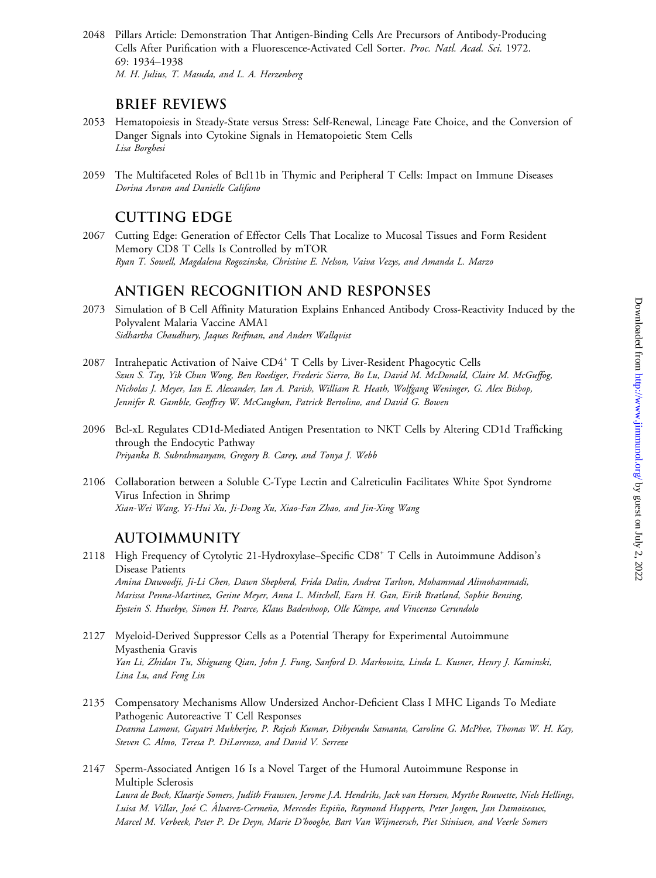2048 Pillars Article: Demonstration That Antigen-Binding Cells Are Precursors of Antibody-Producing Cells After Purification with a Fluorescence-Activated Cell Sorter. Proc. Natl. Acad. Sci. 1972. 69: 1934–1938 M. H. Julius, T. Masuda, and L. A. Herzenberg

### **BRIEF REVIEWS**

- 2053 Hematopoiesis in Steady-State versus Stress: Self-Renewal, Lineage Fate Choice, and the Conversion of Danger Signals into Cytokine Signals in Hematopoietic Stem Cells Lisa Borghesi
- 2059 The Multifaceted Roles of Bcl11b in Thymic and Peripheral T Cells: Impact on Immune Diseases Dorina Avram and Danielle Califano

# **CUTTING EDGE**

2067 Cutting Edge: Generation of Effector Cells That Localize to Mucosal Tissues and Form Resident Memory CD8 T Cells Is Controlled by mTOR Ryan T. Sowell, Magdalena Rogozinska, Christine E. Nelson, Vaiva Vezys, and Amanda L. Marzo

# **ANTIGEN RECOGNITION AND RESPONSES**

- 2073 Simulation of B Cell Affinity Maturation Explains Enhanced Antibody Cross-Reactivity Induced by the Polyvalent Malaria Vaccine AMA1 Sidhartha Chaudhury, Jaques Reifman, and Anders Wallqvist
- 2087 Intrahepatic Activation of Naive CD4<sup>+</sup> T Cells by Liver-Resident Phagocytic Cells Szun S. Tay, Yik Chun Wong, Ben Roediger, Frederic Sierro, Bo Lu, David M. McDonald, Claire M. McGuffog, Nicholas J. Meyer, Ian E. Alexander, Ian A. Parish, William R. Heath, Wolfgang Weninger, G. Alex Bishop, Jennifer R. Gamble, Geoffrey W. McCaughan, Patrick Bertolino, and David G. Bowen
- 2096 Bcl-xL Regulates CD1d-Mediated Antigen Presentation to NKT Cells by Altering CD1d Trafficking through the Endocytic Pathway Priyanka B. Subrahmanyam, Gregory B. Carey, and Tonya J. Webb
- 2106 Collaboration between a Soluble C-Type Lectin and Calreticulin Facilitates White Spot Syndrome Virus Infection in Shrimp Xian-Wei Wang, Yi-Hui Xu, Ji-Dong Xu, Xiao-Fan Zhao, and Jin-Xing Wang

# **AUTOIMMUNITY**

- 2118 High Frequency of Cytolytic 21-Hydroxylase–Specific CD8<sup>+</sup> T Cells in Autoimmune Addison's Disease Patients Amina Dawoodji, Ji-Li Chen, Dawn Shepherd, Frida Dalin, Andrea Tarlton, Mohammad Alimohammadi, Marissa Penna-Martinez, Gesine Meyer, Anna L. Mitchell, Earn H. Gan, Eirik Bratland, Sophie Bensing, Eystein S. Husebye, Simon H. Pearce, Klaus Badenhoop, Olle Kämpe, and Vincenzo Cerundolo
- 2127 Myeloid-Derived Suppressor Cells as a Potential Therapy for Experimental Autoimmune Myasthenia Gravis Yan Li, Zhidan Tu, Shiguang Qian, John J. Fung, Sanford D. Markowitz, Linda L. Kusner, Henry J. Kaminski, Lina Lu, and Feng Lin
- 2135 Compensatory Mechanisms Allow Undersized Anchor-Deficient Class I MHC Ligands To Mediate Pathogenic Autoreactive T Cell Responses Deanna Lamont, Gayatri Mukherjee, P. Rajesh Kumar, Dibyendu Samanta, Caroline G. McPhee, Thomas W. H. Kay, Steven C. Almo, Teresa P. DiLorenzo, and David V. Serreze
- 2147 Sperm-Associated Antigen 16 Is a Novel Target of the Humoral Autoimmune Response in Multiple Sclerosis Laura de Bock, Klaartje Somers, Judith Fraussen, Jerome J.A. Hendriks, Jack van Horssen, Myrthe Rouwette, Niels Hellings, Luisa M. Villar, José C. Álvarez-Cermeño, Mercedes Espiño, Raymond Hupperts, Peter Jongen, Jan Damoiseaux, Marcel M. Verbeek, Peter P. De Deyn, Marie D'hooghe, Bart Van Wijmeersch, Piet Stinissen, and Veerle Somers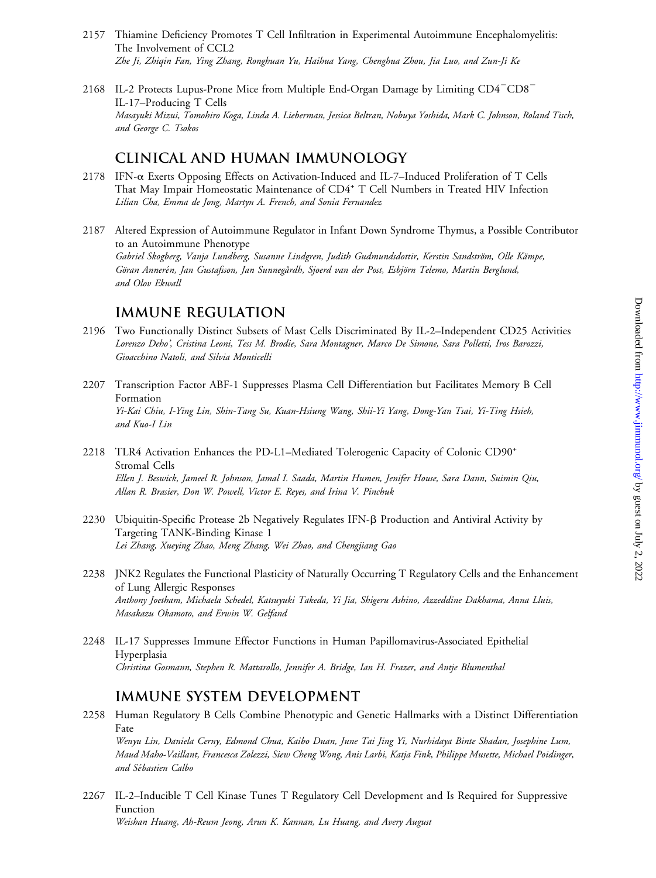- 2157 Thiamine Deficiency Promotes T Cell Infiltration in Experimental Autoimmune Encephalomyelitis: The Involvement of CCL2 Zhe Ji, Zhiqin Fan, Ying Zhang, Ronghuan Yu, Haihua Yang, Chenghua Zhou, Jia Luo, and Zun-Ji Ke
- 2168 IL-2 Protects Lupus-Prone Mice from Multiple End-Organ Damage by Limiting  $CD4-CD8$ <sup>-</sup> IL-17–Producing T Cells Masayuki Mizui, Tomohiro Koga, Linda A. Lieberman, Jessica Beltran, Nobuya Yoshida, Mark C. Johnson, Roland Tisch, and George C. Tsokos

#### **CLINICAL AND HUMAN IMMUNOLOGY**

- 2178 IFN-a Exerts Opposing Effects on Activation-Induced and IL-7–Induced Proliferation of T Cells That May Impair Homeostatic Maintenance of CD4<sup>+</sup> T Cell Numbers in Treated HIV Infection Lilian Cha, Emma de Jong, Martyn A. French, and Sonia Fernandez
- 2187 Altered Expression of Autoimmune Regulator in Infant Down Syndrome Thymus, a Possible Contributor to an Autoimmune Phenotype Gabriel Skogberg, Vanja Lundberg, Susanne Lindgren, Judith Gudmundsdottir, Kerstin Sandström, Olle Kämpe, Göran Annerén, Jan Gustafsson, Jan Sunnegårdh, Sjoerd van der Post, Esbjörn Telemo, Martin Berglund, and Olov Ekwall

#### **IMMUNE REGULATION**

- 2196 Two Functionally Distinct Subsets of Mast Cells Discriminated By IL-2–Independent CD25 Activities Lorenzo Deho', Cristina Leoni, Tess M. Brodie, Sara Montagner, Marco De Simone, Sara Polletti, Iros Barozzi, Gioacchino Natoli, and Silvia Monticelli
- 2207 Transcription Factor ABF-1 Suppresses Plasma Cell Differentiation but Facilitates Memory B Cell Formation Yi-Kai Chiu, I-Ying Lin, Shin-Tang Su, Kuan-Hsiung Wang, Shii-Yi Yang, Dong-Yan Tsai, Yi-Ting Hsieh, and Kuo-I Lin
- 2218 TLR4 Activation Enhances the PD-L1–Mediated Tolerogenic Capacity of Colonic CD90<sup>+</sup> Stromal Cells Ellen J. Beswick, Jameel R. Johnson, Jamal I. Saada, Martin Humen, Jenifer House, Sara Dann, Suimin Qiu, Allan R. Brasier, Don W. Powell, Victor E. Reyes, and Irina V. Pinchuk
- 2230 Ubiquitin-Specific Protease 2b Negatively Regulates IFN- $\beta$  Production and Antiviral Activity by Targeting TANK-Binding Kinase 1 Lei Zhang, Xueying Zhao, Meng Zhang, Wei Zhao, and Chengjiang Gao
- 2238 JNK2 Regulates the Functional Plasticity of Naturally Occurring T Regulatory Cells and the Enhancement of Lung Allergic Responses Anthony Joetham, Michaela Schedel, Katsuyuki Takeda, Yi Jia, Shigeru Ashino, Azzeddine Dakhama, Anna Lluis, Masakazu Okamoto, and Erwin W. Gelfand
- 2248 IL-17 Suppresses Immune Effector Functions in Human Papillomavirus-Associated Epithelial Hyperplasia Christina Gosmann, Stephen R. Mattarollo, Jennifer A. Bridge, Ian H. Frazer, and Antje Blumenthal

#### **IMMUNE SYSTEM DEVELOPMENT**

- 2258 Human Regulatory B Cells Combine Phenotypic and Genetic Hallmarks with a Distinct Differentiation Fate Wenyu Lin, Daniela Cerny, Edmond Chua, Kaibo Duan, June Tai Jing Yi, Nurhidaya Binte Shadan, Josephine Lum, Maud Maho-Vaillant, Francesca Zolezzi, Siew Cheng Wong, Anis Larbi, Katja Fink, Philippe Musette, Michael Poidinger, and Sebastien Calbo
- 2267 IL-2–Inducible T Cell Kinase Tunes T Regulatory Cell Development and Is Required for Suppressive Function Weishan Huang, Ah-Reum Jeong, Arun K. Kannan, Lu Huang, and Avery August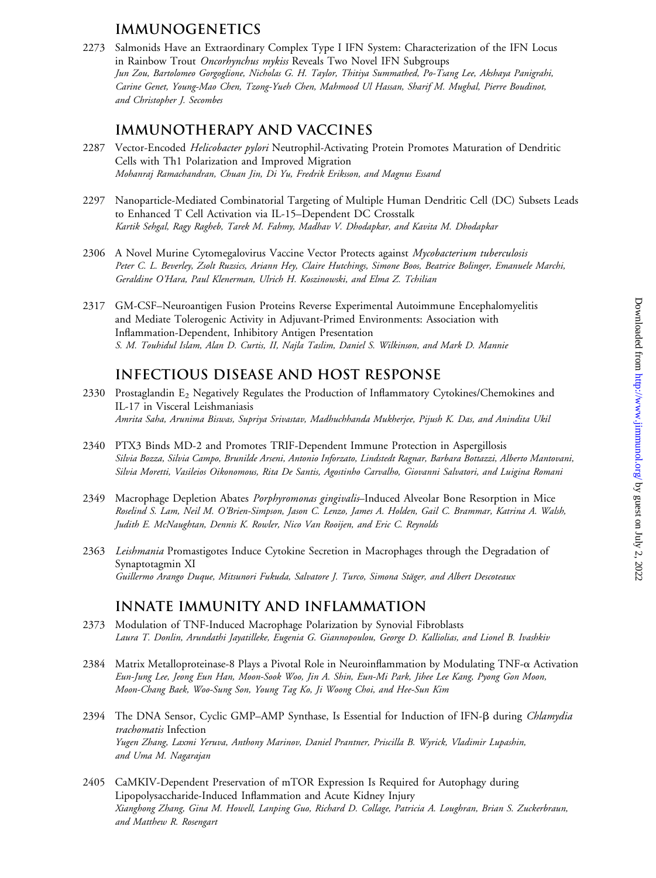# **IMMUNOGENETICS**

2273 Salmonids Have an Extraordinary Complex Type I IFN System: Characterization of the IFN Locus in Rainbow Trout Oncorhynchus mykiss Reveals Two Novel IFN Subgroups Jun Zou, Bartolomeo Gorgoglione, Nicholas G. H. Taylor, Thitiya Summathed, Po-Tsang Lee, Akshaya Panigrahi, Carine Genet, Young-Mao Chen, Tzong-Yueh Chen, Mahmood Ul Hassan, Sharif M. Mughal, Pierre Boudinot, and Christopher J. Secombes

#### **IMMUNOTHERAPY AND VACCINES**

- 2287 Vector-Encoded Helicobacter pylori Neutrophil-Activating Protein Promotes Maturation of Dendritic Cells with Th1 Polarization and Improved Migration Mohanraj Ramachandran, Chuan Jin, Di Yu, Fredrik Eriksson, and Magnus Essand
- 2297 Nanoparticle-Mediated Combinatorial Targeting of Multiple Human Dendritic Cell (DC) Subsets Leads to Enhanced T Cell Activation via IL-15–Dependent DC Crosstalk Kartik Sehgal, Ragy Ragheb, Tarek M. Fahmy, Madhav V. Dhodapkar, and Kavita M. Dhodapkar
- 2306 A Novel Murine Cytomegalovirus Vaccine Vector Protects against Mycobacterium tuberculosis Peter C. L. Beverley, Zsolt Ruzsics, Ariann Hey, Claire Hutchings, Simone Boos, Beatrice Bolinger, Emanuele Marchi, Geraldine O'Hara, Paul Klenerman, Ulrich H. Koszinowski, and Elma Z. Tchilian
- 2317 GM-CSF–Neuroantigen Fusion Proteins Reverse Experimental Autoimmune Encephalomyelitis and Mediate Tolerogenic Activity in Adjuvant-Primed Environments: Association with Inflammation-Dependent, Inhibitory Antigen Presentation S. M. Touhidul Islam, Alan D. Curtis, II, Najla Taslim, Daniel S. Wilkinson, and Mark D. Mannie

# **INFECTIOUS DISEASE AND HOST RESPONSE**

- 2330 Prostaglandin E<sub>2</sub> Negatively Regulates the Production of Inflammatory Cytokines/Chemokines and IL-17 in Visceral Leishmaniasis Amrita Saha, Arunima Biswas, Supriya Srivastav, Madhuchhanda Mukherjee, Pijush K. Das, and Anindita Ukil
- 2340 PTX3 Binds MD-2 and Promotes TRIF-Dependent Immune Protection in Aspergillosis Silvia Bozza, Silvia Campo, Brunilde Arseni, Antonio Inforzato, Lindstedt Ragnar, Barbara Bottazzi, Alberto Mantovani, Silvia Moretti, Vasileios Oikonomous, Rita De Santis, Agostinho Carvalho, Giovanni Salvatori, and Luigina Romani
- 2349 Macrophage Depletion Abates Porphyromonas gingivalis-Induced Alveolar Bone Resorption in Mice Roselind S. Lam, Neil M. O'Brien-Simpson, Jason C. Lenzo, James A. Holden, Gail C. Brammar, Katrina A. Walsh, Judith E. McNaughtan, Dennis K. Rowler, Nico Van Rooijen, and Eric C. Reynolds
- 2363 Leishmania Promastigotes Induce Cytokine Secretion in Macrophages through the Degradation of Synaptotagmin XI Guillermo Arango Duque, Mitsunori Fukuda, Salvatore J. Turco, Simona Stäger, and Albert Descoteaux

### **INNATE IMMUNITY AND INFLAMMATION**

- 2373 Modulation of TNF-Induced Macrophage Polarization by Synovial Fibroblasts Laura T. Donlin, Arundathi Jayatilleke, Eugenia G. Giannopoulou, George D. Kalliolias, and Lionel B. Ivashkiv
- 2384 Matrix Metalloproteinase-8 Plays a Pivotal Role in Neuroinflammation by Modulating TNF-a Activation Eun-Jung Lee, Jeong Eun Han, Moon-Sook Woo, Jin A. Shin, Eun-Mi Park, Jihee Lee Kang, Pyong Gon Moon, Moon-Chang Baek, Woo-Sung Son, Young Tag Ko, Ji Woong Choi, and Hee-Sun Kim
- 2394 The DNA Sensor, Cyclic GMP–AMP Synthase, Is Essential for Induction of IFN-B during Chlamydia trachomatis Infection Yugen Zhang, Laxmi Yeruva, Anthony Marinov, Daniel Prantner, Priscilla B. Wyrick, Vladimir Lupashin, and Uma M. Nagarajan
- 2405 CaMKIV-Dependent Preservation of mTOR Expression Is Required for Autophagy during Lipopolysaccharide-Induced Inflammation and Acute Kidney Injury Xianghong Zhang, Gina M. Howell, Lanping Guo, Richard D. Collage, Patricia A. Loughran, Brian S. Zuckerbraun, and Matthew R. Rosengart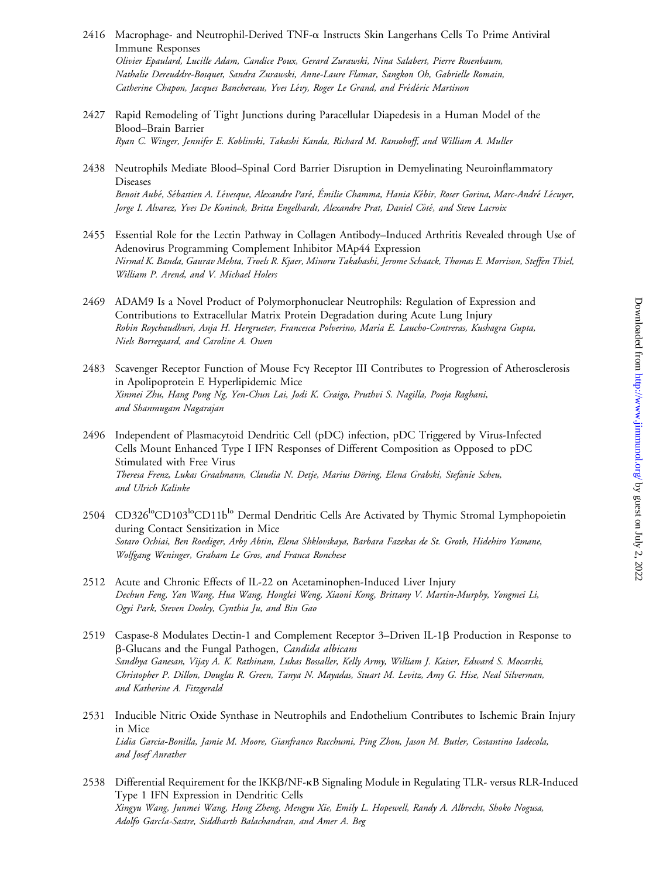- 2416 Macrophage- and Neutrophil-Derived TNF-a Instructs Skin Langerhans Cells To Prime Antiviral Immune Responses Olivier Epaulard, Lucille Adam, Candice Poux, Gerard Zurawski, Nina Salabert, Pierre Rosenbaum, Nathalie Dereuddre-Bosquet, Sandra Zurawski, Anne-Laure Flamar, Sangkon Oh, Gabrielle Romain, Catherine Chapon, Jacques Banchereau, Yves Lévy, Roger Le Grand, and Frédéric Martinon
- 2427 Rapid Remodeling of Tight Junctions during Paracellular Diapedesis in a Human Model of the Blood–Brain Barrier Ryan C. Winger, Jennifer E. Koblinski, Takashi Kanda, Richard M. Ransohoff, and William A. Muller
- 2438 Neutrophils Mediate Blood–Spinal Cord Barrier Disruption in Demyelinating Neuroinflammatory Diseases Benoit Aubé, Sébastien A. Lévesque, Alexandre Paré, Émilie Chamma, Hania Kébir, Roser Gorina, Marc-André Lécuyer, Jorge I. Alvarez, Yves De Koninck, Britta Engelhardt, Alexandre Prat, Daniel Côté, and Steve Lacroix
- 2455 Essential Role for the Lectin Pathway in Collagen Antibody–Induced Arthritis Revealed through Use of Adenovirus Programming Complement Inhibitor MAp44 Expression Nirmal K. Banda, Gaurav Mehta, Troels R. Kjaer, Minoru Takahashi, Jerome Schaack, Thomas E. Morrison, Steffen Thiel, William P. Arend, and V. Michael Holers
- 2469 ADAM9 Is a Novel Product of Polymorphonuclear Neutrophils: Regulation of Expression and Contributions to Extracellular Matrix Protein Degradation during Acute Lung Injury Robin Roychaudhuri, Anja H. Hergrueter, Francesca Polverino, Maria E. Laucho-Contreras, Kushagra Gupta, Niels Borregaard, and Caroline A. Owen
- 2483 Scavenger Receptor Function of Mouse Fcy Receptor III Contributes to Progression of Atherosclerosis in Apolipoprotein E Hyperlipidemic Mice Xinmei Zhu, Hang Pong Ng, Yen-Chun Lai, Jodi K. Craigo, Pruthvi S. Nagilla, Pooja Raghani, and Shanmugam Nagarajan
- 2496 Independent of Plasmacytoid Dendritic Cell (pDC) infection, pDC Triggered by Virus-Infected Cells Mount Enhanced Type I IFN Responses of Different Composition as Opposed to pDC Stimulated with Free Virus Theresa Frenz, Lukas Graalmann, Claudia N. Detje, Marius Döring, Elena Grabski, Stefanie Scheu, and Ulrich Kalinke
- 2504 CD326<sup>lo</sup>CD103<sup>lo</sup>CD11b<sup>lo</sup> Dermal Dendritic Cells Are Activated by Thymic Stromal Lymphopoietin during Contact Sensitization in Mice Sotaro Ochiai, Ben Roediger, Arby Abtin, Elena Shklovskaya, Barbara Fazekas de St. Groth, Hidehiro Yamane, Wolfgang Weninger, Graham Le Gros, and Franca Ronchese
- 2512 Acute and Chronic Effects of IL-22 on Acetaminophen-Induced Liver Injury Dechun Feng, Yan Wang, Hua Wang, Honglei Weng, Xiaoni Kong, Brittany V. Martin-Murphy, Yongmei Li, Ogyi Park, Steven Dooley, Cynthia Ju, and Bin Gao
- 2519 Caspase-8 Modulates Dectin-1 and Complement Receptor 3–Driven IL-1 $\beta$  Production in Response to b-Glucans and the Fungal Pathogen, Candida albicans Sandhya Ganesan, Vijay A. K. Rathinam, Lukas Bossaller, Kelly Army, William J. Kaiser, Edward S. Mocarski, Christopher P. Dillon, Douglas R. Green, Tanya N. Mayadas, Stuart M. Levitz, Amy G. Hise, Neal Silverman, and Katherine A. Fitzgerald
- 2531 Inducible Nitric Oxide Synthase in Neutrophils and Endothelium Contributes to Ischemic Brain Injury in Mice Lidia Garcia-Bonilla, Jamie M. Moore, Gianfranco Racchumi, Ping Zhou, Jason M. Butler, Costantino Iadecola, and Josef Anrather
- 2538 Differential Requirement for the IKKB/NF-KB Signaling Module in Regulating TLR- versus RLR-Induced Type 1 IFN Expression in Dendritic Cells Xingyu Wang, Junmei Wang, Hong Zheng, Mengyu Xie, Emily L. Hopewell, Randy A. Albrecht, Shoko Nogusa, Adolfo García-Sastre, Siddharth Balachandran, and Amer A. Beg